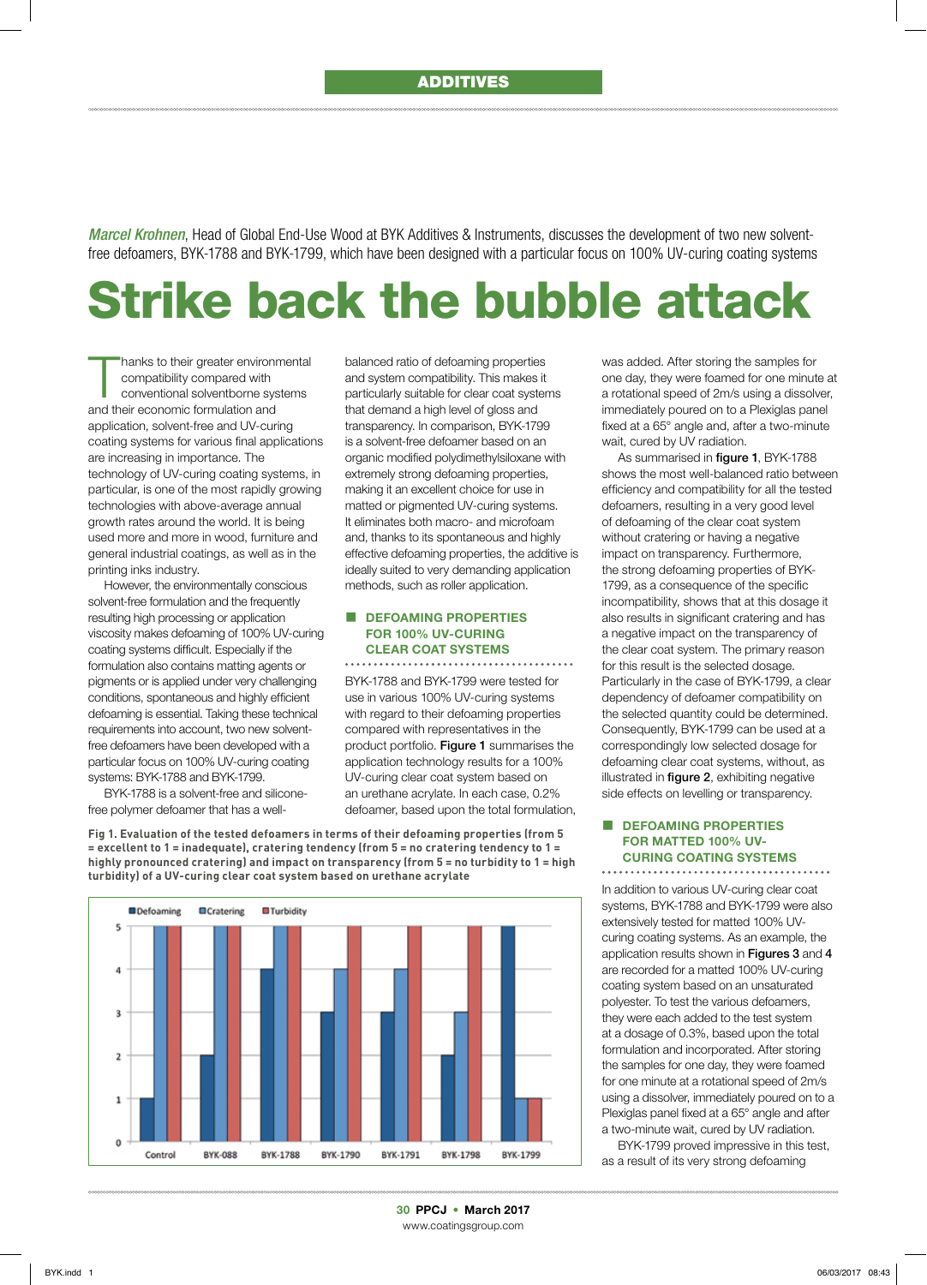*Marcel Krohnen*, Head of Global End-Use Wood at BYK Additives & Instruments, discusses the development of two new solventfree defoamers, BYK-1788 and BYK-1799, which have been designed with a particular focus on 100% UV-curing coating systems

# Strike back the bubble attack

hanks to their greater environmental<br>
compatibility compared with<br>
conventional solventborne systems<br>
and the value of the solutions of compatibility compared with and their economic formulation and application, solvent-free and UV-curing coating systems for various final applications are increasing in importance. The technology of UV-curing coating systems, in particular, is one of the most rapidly growing technologies with above-average annual growth rates around the world. It is being used more and more in wood, furniture and general industrial coatings, as well as in the printing inks industry.

However, the environmentally conscious solvent-free formulation and the frequently resulting high processing or application viscosity makes defoaming of 100% UV-curing coating systems difficult. Especially if the formulation also contains matting agents or pigments or is applied under very challenging conditions, spontaneous and highly efficient defoaming is essential. Taking these technical requirements into account, two new solventfree defoamers have been developed with a particular focus on 100% UV-curing coating systems: BYK-1788 and BYK-1799.

BYK-1788 is a solvent-free and siliconefree polymer defoamer that has a wellbalanced ratio of defoaming properties and system compatibility. This makes it particularly suitable for clear coat systems that demand a high level of gloss and transparency. In comparison, BYK-1799 is a solvent-free defoamer based on an organic modified polydimethylsiloxane with extremely strong defoaming properties, making it an excellent choice for use in matted or pigmented UV-curing systems. It eliminates both macro- and microfoam and, thanks to its spontaneous and highly effective defoaming properties, the additive is ideally suited to very demanding application methods, such as roller application.

## DEFOAMING PROPERTIES FOR 100% UV-CURING CLEAR COAT SYSTEMS

BYK-1788 and BYK-1799 were tested for use in various 100% UV-curing systems with regard to their defoaming properties compared with representatives in the product portfolio. Figure 1 summarises the application technology results for a 100% UV-curing clear coat system based on an urethane acrylate. In each case, 0.2% defoamer, based upon the total formulation,

**Fig 1. Evaluation of the tested defoamers in terms of their defoaming properties (from 5 = excellent to 1 = inadequate), cratering tendency (from 5 = no cratering tendency to 1 = highly pronounced cratering) and impact on transparency (from 5 = no turbidity to 1 = high turbidity) of a UV-curing clear coat system based on urethane acrylate**



was added. After storing the samples for one day, they were foamed for one minute at a rotational speed of 2m/s using a dissolver, immediately poured on to a Plexiglas panel fixed at a 65° angle and, after a two-minute wait, cured by UV radiation.

As summarised in figure 1, BYK-1788 shows the most well-balanced ratio between efficiency and compatibility for all the tested defoamers, resulting in a very good level of defoaming of the clear coat system without cratering or having a negative impact on transparency. Furthermore, the strong defoaming properties of BYK-1799, as a consequence of the specific incompatibility, shows that at this dosage it also results in significant cratering and has a negative impact on the transparency of the clear coat system. The primary reason for this result is the selected dosage. Particularly in the case of BYK-1799, a clear dependency of defoamer compatibility on the selected quantity could be determined. Consequently, BYK-1799 can be used at a correspondingly low selected dosage for defoaming clear coat systems, without, as illustrated in figure 2, exhibiting negative side effects on levelling or transparency.

## DEFOAMING PROPERTIES FOR MATTED 100% UV-CURING COATING SYSTEMS

In addition to various UV-curing clear coat systems, BYK-1788 and BYK-1799 were also extensively tested for matted 100% UVcuring coating systems. As an example, the application results shown in Figures 3 and 4 are recorded for a matted 100% UV-curing coating system based on an unsaturated polyester. To test the various defoamers, they were each added to the test system at a dosage of 0.3%, based upon the total formulation and incorporated. After storing the samples for one day, they were foamed for one minute at a rotational speed of 2m/s using a dissolver, immediately poured on to a Plexiglas panel fixed at a 65° angle and after a two-minute wait, cured by UV radiation.

BYK-1799 proved impressive in this test, as a result of its very strong defoaming

30 PPCJ • March 2017 www.coatingsgroup.com